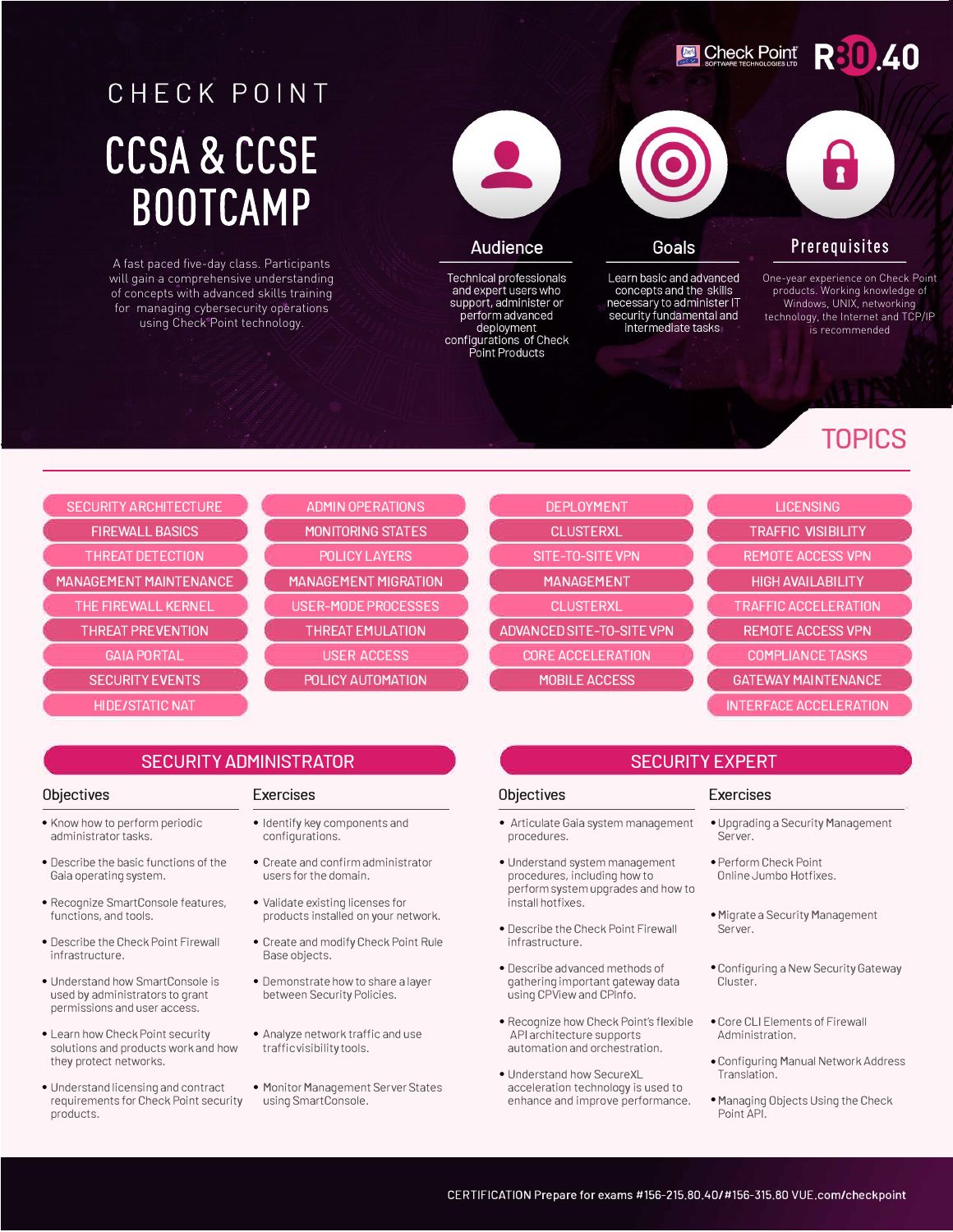**Check Point** 

## **R30.40**

# CHECK POINT CCSA & CCSE **BOOTCAMP**

A fast paced five-day class. Participants will gain a comprehensive understanding of concepts with advanced skills training for managing cybersecurity operations using Check Point technology.



### **Audience**

Technical professionals and expert users who support, administer or perform advanced deployment<br>configurations of Check Point Products

### Goals

Learn basic and advanced concepts and the skills necessary to administer IT<br>security fundamental and intermediate tasks

### Prerequisites

One-year experience on Check Point products. Working knowledge of Windows, UNIX, networking technology, the Internet and TCP/IP is recommended

## **TOPICS**

| <b>SECURITY ARCHITECTURE</b>  | <b>ADMIN OPERATIONS</b>     | <b>DEPLOYMENT</b>                | <b>LICENSING</b>              |
|-------------------------------|-----------------------------|----------------------------------|-------------------------------|
| <b>FIREWALL BASICS</b>        | <b>MONITORING STATES</b>    | <b>CLUSTERXL</b>                 | <b>TRAFFIC VISIBILITY</b>     |
| <b>THREAT DETECTION</b>       | <b>POLICY LAYERS</b>        | SITE-TO-SITE VPN                 | <b>REMOTE ACCESS VPN</b>      |
| <b>MANAGEMENT MAINTENANCE</b> | <b>MANAGEMENT MIGRATION</b> | <b>MANAGEMENT</b>                | <b>HIGH AVAILABILITY</b>      |
| THE FIREWALL KERNEL           | USER-MODE PROCESSES         | <b>CLUSTERXL</b>                 | <b>TRAFFIC ACCELERATION</b>   |
| <b>THREAT PREVENTION</b>      | <b>THREAT EMULATION</b>     | <b>ADVANCED SITE-TO-SITE VPN</b> | <b>REMOTE ACCESS VPN</b>      |
| <b>GAIA PORTAL</b>            | <b>USER ACCESS</b>          | <b>CORE ACCELERATION</b>         | <b>COMPLIANCE TASKS</b>       |
| <b>SECURITY EVENTS</b>        | POLICY AUTOMATION           | MOBILE ACCESS                    | <b>GATEWAY MAINTENANCE</b>    |
| <b>HIDE/STATIC NAT</b>        |                             |                                  | <b>INTERFACE ACCELERATION</b> |

### **SECURITY ADMINISTRATOR**

### **Objectives**

- Know how to perform periodic administrator tasks.
- Describe the basic functions of the Gaia operating system.
- Recognize SmartConsole features, functions, and tools.
- Describe the Check Point Firewall infrastructure.
- Understand how SmartConsole is used by administrators to grant permissions and user access.
- Learn how Check Point security solutions and products work and how they protect networks.
- Understand licensing and contract Monitor Management Server States requirements for Check Point security using SmartConsole. requirements for Check Point security products.
- Exercises
	- Identify key components and configurations.
	- Create and confirm administrator users for the domain.
	- Validate existing licenses for products installed on your network.
	- Create and modify Check Point Rule Base objects.
	- Demonstrate how to share a layer between Security Policies.
	- Analyze network traffic and use traffic visibility tools.
	-

### **SECURITY EXPERT**

- Articulate Gaia system management procedures.
- Understand system management procedures, including how to perform system upgrades and how to install hotfixes.
- Describe the Check Point Firewall infrastructure.
- Describe advanced methods of gathering important gateway data using CPView and CPlnfo.
- Recognize how Check Point's flexible API architecture supports automation and orchestration.
- Understand how SecureXL acceleration technology is used to enhance and improve performance.

### **Objectives Exercises**

- Upgrading a Security Management Server.
- Perform Check Point Online Jumbo Hotfixes.
- Migrate a Security Management Server.
- Configuring a New Security Gateway Cluster.
- Core CLI Elements of Firewall Administration.
- Configuring Manual Network Address Translation.
- Managing Objects Using the Check PointAPI.